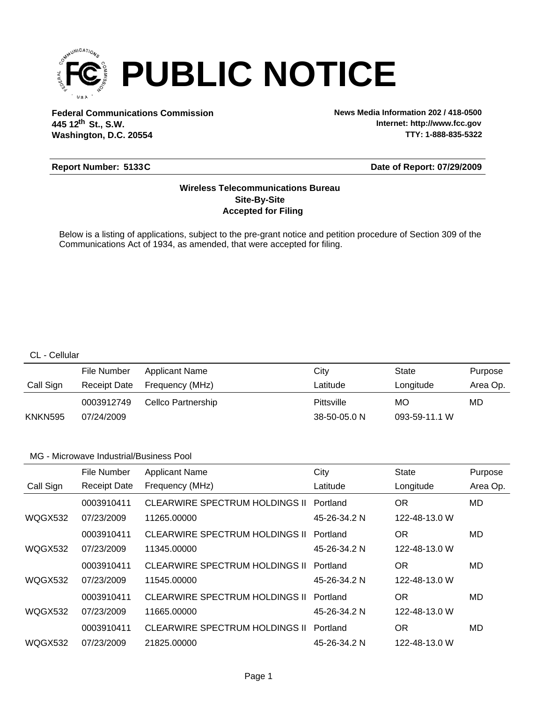

**Federal Communications Commission News Media Information 202 / 418-0500 Washington, D.C. 20554 th 445 12 St., S.W.**

**Internet: http://www.fcc.gov TTY: 1-888-835-5322**

# **Report Number: 5133C**

#### **Date of Report: 07/29/2009**

# **Accepted for Filing Site-By-Site Wireless Telecommunications Bureau**

Below is a listing of applications, subject to the pre-grant notice and petition procedure of Section 309 of the Communications Act of 1934, as amended, that were accepted for filing.

## CL - Cellular

|           | File Number  | <b>Applicant Name</b> | Citv         | State         | Purpose  |
|-----------|--------------|-----------------------|--------------|---------------|----------|
| Call Sign | Receipt Date | Frequency (MHz)       | Latitude     | Longitude     | Area Op. |
|           | 0003912749   | Cellco Partnership    | Pittsville   | МO            | MD       |
| KNKN595   | 07/24/2009   |                       | 38-50-05.0 N | 093-59-11.1 W |          |

|                | File Number         | <b>Applicant Name</b>                 | City         | <b>State</b>  | Purpose  |
|----------------|---------------------|---------------------------------------|--------------|---------------|----------|
| Call Sign      | <b>Receipt Date</b> | Frequency (MHz)                       | Latitude     | Longitude     | Area Op. |
|                | 0003910411          | CLEARWIRE SPECTRUM HOLDINGS II        | Portland     | <b>OR</b>     | MD       |
| WQGX532        | 07/23/2009          | 11265.00000                           | 45-26-34.2 N | 122-48-13.0 W |          |
|                | 0003910411          | <b>CLEARWIRE SPECTRUM HOLDINGS II</b> | Portland     | OR            | MD       |
| WQGX532        | 07/23/2009          | 11345.00000                           | 45-26-34.2 N | 122-48-13.0 W |          |
|                | 0003910411          | CLEARWIRE SPECTRUM HOLDINGS II        | Portland     | OR            | MD       |
| <b>WQGX532</b> | 07/23/2009          | 11545.00000                           | 45-26-34.2 N | 122-48-13.0 W |          |
|                | 0003910411          | CLEARWIRE SPECTRUM HOLDINGS II        | Portland     | OR            | MD       |
| WQGX532        | 07/23/2009          | 11665.00000                           | 45-26-34.2 N | 122-48-13.0 W |          |
|                | 0003910411          | CLEARWIRE SPECTRUM HOLDINGS II        | Portland     | OR            | MD       |
| WQGX532        | 07/23/2009          | 21825.00000                           | 45-26-34.2 N | 122-48-13.0 W |          |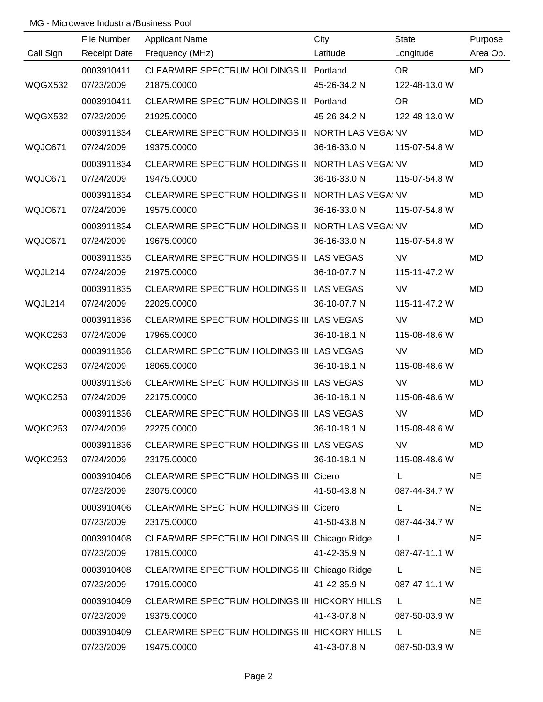|           | File Number         | <b>Applicant Name</b>                            | City         | <b>State</b>  | Purpose   |
|-----------|---------------------|--------------------------------------------------|--------------|---------------|-----------|
| Call Sign | <b>Receipt Date</b> | Frequency (MHz)                                  | Latitude     | Longitude     | Area Op.  |
|           | 0003910411          | CLEARWIRE SPECTRUM HOLDINGS II Portland          |              | <b>OR</b>     | MD        |
| WQGX532   | 07/23/2009          | 21875.00000                                      | 45-26-34.2 N | 122-48-13.0 W |           |
|           | 0003910411          | CLEARWIRE SPECTRUM HOLDINGS II Portland          |              | <b>OR</b>     | <b>MD</b> |
| WQGX532   | 07/23/2009          | 21925.00000                                      | 45-26-34.2 N | 122-48-13.0 W |           |
|           | 0003911834          | CLEARWIRE SPECTRUM HOLDINGS II NORTH LAS VEGAINV |              |               | <b>MD</b> |
| WQJC671   | 07/24/2009          | 19375.00000                                      | 36-16-33.0 N | 115-07-54.8 W |           |
|           | 0003911834          | CLEARWIRE SPECTRUM HOLDINGS II NORTH LAS VEGAINV |              |               | <b>MD</b> |
| WQJC671   | 07/24/2009          | 19475.00000                                      | 36-16-33.0 N | 115-07-54.8 W |           |
|           | 0003911834          | CLEARWIRE SPECTRUM HOLDINGS II NORTH LAS VEGAINV |              |               | <b>MD</b> |
| WQJC671   | 07/24/2009          | 19575.00000                                      | 36-16-33.0 N | 115-07-54.8 W |           |
|           | 0003911834          | CLEARWIRE SPECTRUM HOLDINGS II NORTH LAS VEGAINV |              |               | MD        |
| WQJC671   | 07/24/2009          | 19675.00000                                      | 36-16-33.0 N | 115-07-54.8 W |           |
|           | 0003911835          | CLEARWIRE SPECTRUM HOLDINGS II LAS VEGAS         |              | <b>NV</b>     | <b>MD</b> |
| WQJL214   | 07/24/2009          | 21975.00000                                      | 36-10-07.7 N | 115-11-47.2 W |           |
|           | 0003911835          | CLEARWIRE SPECTRUM HOLDINGS II LAS VEGAS         |              | <b>NV</b>     | MD        |
| WQJL214   | 07/24/2009          | 22025.00000                                      | 36-10-07.7 N | 115-11-47.2 W |           |
|           | 0003911836          | CLEARWIRE SPECTRUM HOLDINGS III LAS VEGAS        |              | <b>NV</b>     | <b>MD</b> |
| WQKC253   | 07/24/2009          | 17965.00000                                      | 36-10-18.1 N | 115-08-48.6 W |           |
|           | 0003911836          | CLEARWIRE SPECTRUM HOLDINGS III LAS VEGAS        |              | <b>NV</b>     | MD        |
| WQKC253   | 07/24/2009          | 18065.00000                                      | 36-10-18.1 N | 115-08-48.6 W |           |
|           | 0003911836          | CLEARWIRE SPECTRUM HOLDINGS III LAS VEGAS        |              | <b>NV</b>     | MD        |
| WQKC253   | 07/24/2009          | 22175.00000                                      | 36-10-18.1 N | 115-08-48.6 W |           |
|           | 0003911836          | CLEARWIRE SPECTRUM HOLDINGS III LAS VEGAS        |              | <b>NV</b>     | MD        |
| WQKC253   | 07/24/2009          | 22275.00000                                      | 36-10-18.1 N | 115-08-48.6 W |           |
|           | 0003911836          | CLEARWIRE SPECTRUM HOLDINGS III LAS VEGAS        |              | <b>NV</b>     | MD        |
| WQKC253   | 07/24/2009          | 23175.00000                                      | 36-10-18.1 N | 115-08-48.6 W |           |
|           | 0003910406          | CLEARWIRE SPECTRUM HOLDINGS III Cicero           |              | IL.           | <b>NE</b> |
|           | 07/23/2009          | 23075.00000                                      | 41-50-43.8 N | 087-44-34.7 W |           |
|           | 0003910406          | <b>CLEARWIRE SPECTRUM HOLDINGS III Cicero</b>    |              | IL.           | <b>NE</b> |
|           | 07/23/2009          | 23175.00000                                      | 41-50-43.8 N | 087-44-34.7 W |           |
|           | 0003910408          | CLEARWIRE SPECTRUM HOLDINGS III Chicago Ridge    |              | IL.           | <b>NE</b> |
|           | 07/23/2009          | 17815.00000                                      | 41-42-35.9 N | 087-47-11.1 W |           |
|           | 0003910408          | CLEARWIRE SPECTRUM HOLDINGS III Chicago Ridge    |              | IL.           | <b>NE</b> |
|           | 07/23/2009          | 17915.00000                                      | 41-42-35.9 N | 087-47-11.1 W |           |
|           | 0003910409          | CLEARWIRE SPECTRUM HOLDINGS III HICKORY HILLS    |              | IL.           | <b>NE</b> |
|           | 07/23/2009          | 19375.00000                                      | 41-43-07.8 N | 087-50-03.9 W |           |
|           | 0003910409          | CLEARWIRE SPECTRUM HOLDINGS III HICKORY HILLS    |              | IL            | <b>NE</b> |
|           | 07/23/2009          | 19475.00000                                      | 41-43-07.8 N | 087-50-03.9 W |           |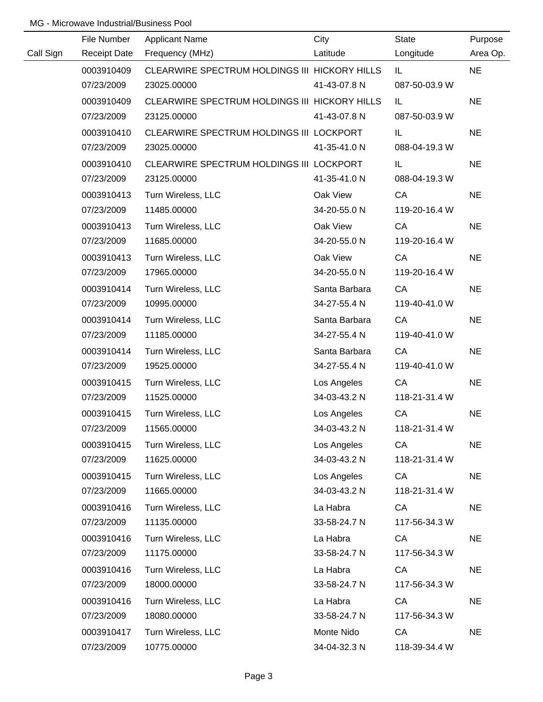|           | File Number         | <b>Applicant Name</b>                         | City          | <b>State</b>  | Purpose   |
|-----------|---------------------|-----------------------------------------------|---------------|---------------|-----------|
| Call Sign | <b>Receipt Date</b> | Frequency (MHz)                               | Latitude      | Longitude     | Area Op.  |
|           | 0003910409          | CLEARWIRE SPECTRUM HOLDINGS III HICKORY HILLS |               | IL.           | <b>NE</b> |
|           | 07/23/2009          | 23025.00000                                   | 41-43-07.8 N  | 087-50-03.9 W |           |
|           | 0003910409          | CLEARWIRE SPECTRUM HOLDINGS III HICKORY HILLS |               | IL.           | <b>NE</b> |
|           | 07/23/2009          | 23125.00000                                   | 41-43-07.8 N  | 087-50-03.9 W |           |
|           | 0003910410          | CLEARWIRE SPECTRUM HOLDINGS III LOCKPORT      |               | IL            | <b>NE</b> |
|           | 07/23/2009          | 23025.00000                                   | 41-35-41.0 N  | 088-04-19.3 W |           |
|           | 0003910410          | CLEARWIRE SPECTRUM HOLDINGS III LOCKPORT      |               | IL.           | <b>NE</b> |
|           | 07/23/2009          | 23125.00000                                   | 41-35-41.0 N  | 088-04-19.3 W |           |
|           | 0003910413          | Turn Wireless, LLC                            | Oak View      | CA            | <b>NE</b> |
|           | 07/23/2009          | 11485.00000                                   | 34-20-55.0 N  | 119-20-16.4 W |           |
|           | 0003910413          | Turn Wireless, LLC                            | Oak View      | CA            | <b>NE</b> |
|           | 07/23/2009          | 11685.00000                                   | 34-20-55.0 N  | 119-20-16.4 W |           |
|           | 0003910413          | Turn Wireless, LLC                            | Oak View      | CA            | <b>NE</b> |
|           | 07/23/2009          | 17965.00000                                   | 34-20-55.0 N  | 119-20-16.4 W |           |
|           | 0003910414          | Turn Wireless, LLC                            | Santa Barbara | CA            | <b>NE</b> |
|           | 07/23/2009          | 10995.00000                                   | 34-27-55.4 N  | 119-40-41.0 W |           |
|           | 0003910414          | Turn Wireless, LLC                            | Santa Barbara | CA            | <b>NE</b> |
|           | 07/23/2009          | 11185.00000                                   | 34-27-55.4 N  | 119-40-41.0 W |           |
|           | 0003910414          | Turn Wireless, LLC                            | Santa Barbara | CA            | <b>NE</b> |
|           | 07/23/2009          | 19525.00000                                   | 34-27-55.4 N  | 119-40-41.0 W |           |
|           | 0003910415          | Turn Wireless, LLC                            | Los Angeles   | CA            | <b>NE</b> |
|           | 07/23/2009          | 11525.00000                                   | 34-03-43.2 N  | 118-21-31.4 W |           |
|           | 0003910415          | Turn Wireless, LLC                            | Los Angeles   | CA            | <b>NE</b> |
|           | 07/23/2009          | 11565.00000                                   | 34-03-43.2 N  | 118-21-31.4 W |           |
|           | 0003910415          | Turn Wireless, LLC                            | Los Angeles   | CA            | <b>NE</b> |
|           | 07/23/2009          | 11625.00000                                   | 34-03-43.2 N  | 118-21-31.4 W |           |
|           | 0003910415          | Turn Wireless, LLC                            | Los Angeles   | CA            | <b>NE</b> |
|           | 07/23/2009          | 11665.00000                                   | 34-03-43.2 N  | 118-21-31.4 W |           |
|           | 0003910416          | Turn Wireless, LLC                            | La Habra      | CA            | <b>NE</b> |
|           | 07/23/2009          | 11135.00000                                   | 33-58-24.7 N  | 117-56-34.3 W |           |
|           | 0003910416          | Turn Wireless, LLC                            | La Habra      | CA            | <b>NE</b> |
|           | 07/23/2009          | 11175.00000                                   | 33-58-24.7 N  | 117-56-34.3 W |           |
|           | 0003910416          | Turn Wireless, LLC                            | La Habra      | CA            | <b>NE</b> |
|           | 07/23/2009          | 18000.00000                                   | 33-58-24.7 N  | 117-56-34.3 W |           |
|           | 0003910416          | Turn Wireless, LLC                            | La Habra      | CA            | <b>NE</b> |
|           | 07/23/2009          | 18080.00000                                   | 33-58-24.7 N  | 117-56-34.3 W |           |
|           | 0003910417          | Turn Wireless, LLC                            | Monte Nido    | CA            | <b>NE</b> |
|           | 07/23/2009          | 10775.00000                                   | 34-04-32.3 N  | 118-39-34.4 W |           |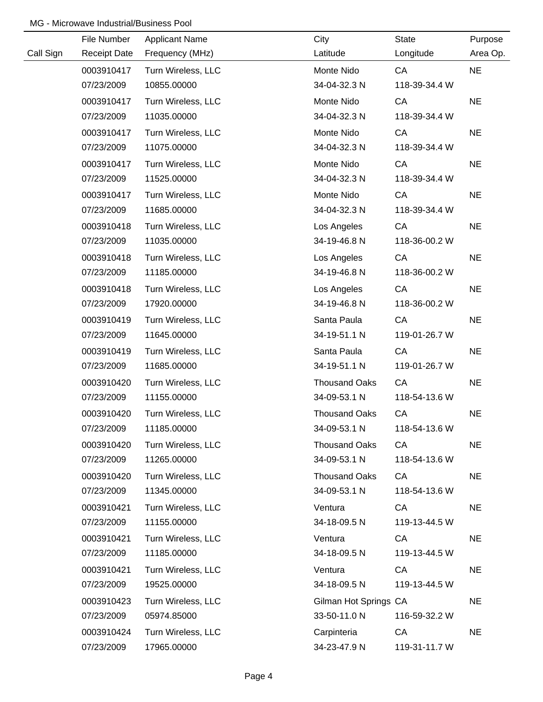|           | File Number         | <b>Applicant Name</b> | City                  | State         | Purpose   |
|-----------|---------------------|-----------------------|-----------------------|---------------|-----------|
| Call Sign | <b>Receipt Date</b> | Frequency (MHz)       | Latitude              | Longitude     | Area Op.  |
|           | 0003910417          | Turn Wireless, LLC    | Monte Nido            | CA            | <b>NE</b> |
|           | 07/23/2009          | 10855.00000           | 34-04-32.3 N          | 118-39-34.4 W |           |
|           | 0003910417          | Turn Wireless, LLC    | Monte Nido            | CA            | <b>NE</b> |
|           | 07/23/2009          | 11035.00000           | 34-04-32.3 N          | 118-39-34.4 W |           |
|           | 0003910417          | Turn Wireless, LLC    | Monte Nido            | CA            | <b>NE</b> |
|           | 07/23/2009          | 11075.00000           | 34-04-32.3 N          | 118-39-34.4 W |           |
|           | 0003910417          | Turn Wireless, LLC    | Monte Nido            | CA            | <b>NE</b> |
|           | 07/23/2009          | 11525.00000           | 34-04-32.3 N          | 118-39-34.4 W |           |
|           | 0003910417          | Turn Wireless, LLC    | Monte Nido            | CA            | <b>NE</b> |
|           | 07/23/2009          | 11685.00000           | 34-04-32.3 N          | 118-39-34.4 W |           |
|           | 0003910418          | Turn Wireless, LLC    | Los Angeles           | CA            | <b>NE</b> |
|           | 07/23/2009          | 11035.00000           | 34-19-46.8 N          | 118-36-00.2 W |           |
|           | 0003910418          | Turn Wireless, LLC    | Los Angeles           | CA            | <b>NE</b> |
|           | 07/23/2009          | 11185.00000           | 34-19-46.8 N          | 118-36-00.2 W |           |
|           | 0003910418          | Turn Wireless, LLC    | Los Angeles           | CA            | <b>NE</b> |
|           | 07/23/2009          | 17920.00000           | 34-19-46.8 N          | 118-36-00.2 W |           |
|           | 0003910419          | Turn Wireless, LLC    | Santa Paula           | CA            | <b>NE</b> |
|           | 07/23/2009          | 11645.00000           | 34-19-51.1 N          | 119-01-26.7 W |           |
|           | 0003910419          | Turn Wireless, LLC    | Santa Paula           | CA            | <b>NE</b> |
|           | 07/23/2009          | 11685.00000           | 34-19-51.1 N          | 119-01-26.7 W |           |
|           | 0003910420          | Turn Wireless, LLC    | <b>Thousand Oaks</b>  | CA            | <b>NE</b> |
|           | 07/23/2009          | 11155.00000           | 34-09-53.1 N          | 118-54-13.6 W |           |
|           | 0003910420          | Turn Wireless, LLC    | <b>Thousand Oaks</b>  | CA            | <b>NE</b> |
|           | 07/23/2009          | 11185.00000           | 34-09-53.1 N          | 118-54-13.6 W |           |
|           | 0003910420          | Turn Wireless, LLC    | <b>Thousand Oaks</b>  | CA            | <b>NE</b> |
|           | 07/23/2009          | 11265.00000           | 34-09-53.1 N          | 118-54-13.6 W |           |
|           | 0003910420          | Turn Wireless, LLC    | <b>Thousand Oaks</b>  | CA            | <b>NE</b> |
|           | 07/23/2009          | 11345.00000           | 34-09-53.1 N          | 118-54-13.6 W |           |
|           | 0003910421          | Turn Wireless, LLC    | Ventura               | CA            | <b>NE</b> |
|           | 07/23/2009          | 11155.00000           | 34-18-09.5 N          | 119-13-44.5 W |           |
|           | 0003910421          | Turn Wireless, LLC    | Ventura               | CA            | <b>NE</b> |
|           | 07/23/2009          | 11185.00000           | 34-18-09.5 N          | 119-13-44.5 W |           |
|           | 0003910421          | Turn Wireless, LLC    | Ventura               | CA            | <b>NE</b> |
|           | 07/23/2009          | 19525.00000           | 34-18-09.5 N          | 119-13-44.5 W |           |
|           | 0003910423          | Turn Wireless, LLC    | Gilman Hot Springs CA |               | <b>NE</b> |
|           | 07/23/2009          | 05974.85000           | 33-50-11.0 N          | 116-59-32.2 W |           |
|           | 0003910424          | Turn Wireless, LLC    | Carpinteria           | CA            | <b>NE</b> |
|           | 07/23/2009          | 17965.00000           | 34-23-47.9 N          | 119-31-11.7 W |           |